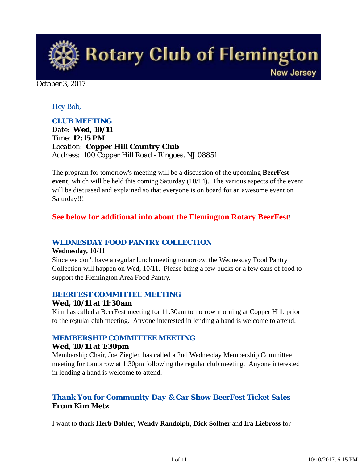**Rotary Club of Flemington New Jersey** 

October 3, 2017

### *Hey Bob,*

### *CLUB MEETING*

*Date: Wed, 10/11 Time: 12:15 PM Location: Copper Hill Country Club Address: 100 Copper Hill Road - Ringoes, NJ 08851*

The program for tomorrow's meeting will be a discussion of the upcoming **BeerFest event**, which will be held this coming Saturday (10/14). The various aspects of the event will be discussed and explained so that everyone is on board for an awesome event on Saturday!!!

### **See below for additional info about the Flemington Rotary BeerFest**!

#### *WEDNESDAY FOOD PANTRY COLLECTION*

#### **Wednesday, 10/11**

Since we don't have a regular lunch meeting tomorrow, the Wednesday Food Pantry Collection will happen on Wed, 10/11. Please bring a few bucks or a few cans of food to support the Flemington Area Food Pantry.

#### *BEERFEST COMMITTEE MEETING*

#### **Wed, 10/11 at 11:30am**

Kim has called a BeerFest meeting for 11:30am tomorrow morning at Copper Hill, prior to the regular club meeting. Anyone interested in lending a hand is welcome to attend.

#### *MEMBERSHIP COMMITTEE MEETING*

#### **Wed, 10/11 at 1:30pm**

Membership Chair, Joe Ziegler, has called a 2nd Wednesday Membership Committee meeting for tomorrow at 1:30pm following the regular club meeting. Anyone interested in lending a hand is welcome to attend.

### *Thank You for Community Day & Car Show BeerFest Ticket Sales* **From Kim Metz**

I want to thank **Herb Bohler**, **Wendy Randolph**, **Dick Sollner** and **Ira Liebross** for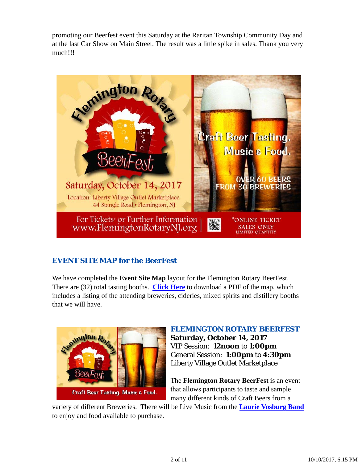promoting our Beerfest event this Saturday at the Raritan Township Community Day and at the last Car Show on Main Street. The result was a little spike in sales. Thank you very much!!!



### *EVENT SITE MAP for the BeerFest*

We have completed the **Event Site Map** layout for the Flemington Rotary BeerFest. There are (32) total tasting booths. **Click Here** to download a PDF of the map, which includes a listing of the attending breweries, cideries, mixed spirits and distillery booths that we will have.



### *FLEMINGTON ROTARY BEERFEST*

**Saturday, October 14, 2017** VIP Session: **12noon** to **1:00pm** General Session: **1:00pm** to **4:30pm** Liberty Village Outlet Marketplace

The **Flemington Rotary BeerFest** is an event that allows participants to taste and sample many different kinds of Craft Beers from a

variety of different Breweries. There will be Live Music from the **Laurie Vosburg Band** to enjoy and food available to purchase.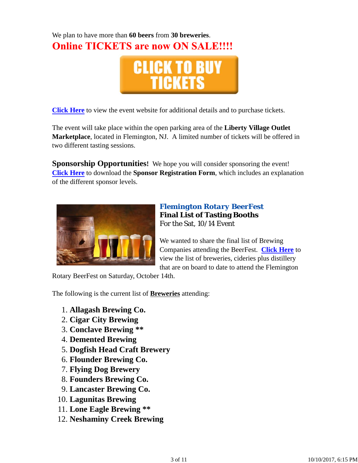# We plan to have more than **60 beers** from **30 breweries**. **Online TICKETS are now ON SALE!!!!**



**Click Here** to view the event website for additional details and to purchase tickets.

The event will take place within the open parking area of the **Liberty Village Outlet Marketplace**, located in Flemington, NJ. A limited number of tickets will be offered in two different tasting sessions.

**Sponsorship Opportunities!** We hope you will consider sponsoring the event! **Click Here** to download the **Sponsor Registration Form**, which includes an explanation of the different sponsor levels.



### *Flemington Rotary BeerFest* **Final List of Tasting Booths** For the Sat, 10/14 Event

We wanted to share the final list of Brewing Companies attending the BeerFest. **Click Here** to view the list of breweries, cideries plus distillery that are on board to date to attend the Flemington

Rotary BeerFest on Saturday, October 14th.

The following is the current list of **Breweries** attending:

- 1. **Allagash Brewing Co.**
- 2. **Cigar City Brewing**
- 3. **Conclave Brewing \*\***
- 4. **Demented Brewing**
- 5. **Dogfish Head Craft Brewery**
- 6. **Flounder Brewing Co.**
- 7. **Flying Dog Brewery**
- 8. **Founders Brewing Co.**
- 9. **Lancaster Brewing Co.**
- 10. **Lagunitas Brewing**
- 11. **Lone Eagle Brewing \*\***
- 12. **Neshaminy Creek Brewing**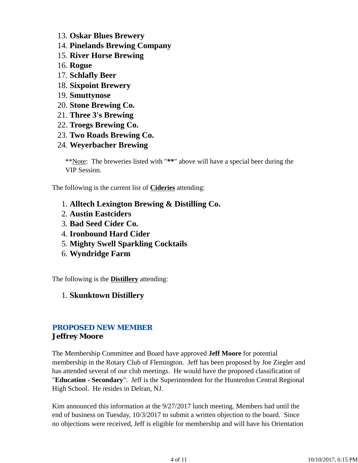- 13. **Oskar Blues Brewery**
- 14. **Pinelands Brewing Company**
- 15. **River Horse Brewing**
- 16. **Rogue**
- 17. **Schlafly Beer**
- 18. **Sixpoint Brewery**
- 19. **Smuttynose**
- 20. **Stone Brewing Co.**
- 21. **Three 3's Brewing**
- 22. **Troegs Brewing Co.**
- 23. **Two Roads Brewing Co.**
- 24. **Weyerbacher Brewing**

\*\*Note: The breweries listed with "**\*\***" above will have a special beer during the VIP Session.

The following is the current list of **Cideries** attending:

- 1. **Alltech Lexington Brewing & Distilling Co.**
- 2. **Austin Eastciders**
- 3. **Bad Seed Cider Co.**
- 4. **Ironbound Hard Cider**
- 5. **Mighty Swell Sparkling Cocktails**
- 6. **Wyndridge Farm**

The following is the **Distillery** attending:

### 1. **Skunktown Distillery**

### *PROPOSED NEW MEMBER* **Jeffrey Moore**

The Membership Committee and Board have approved **Jeff Moore** for potential membership in the Rotary Club of Flemington. Jeff has been proposed by Joe Ziegler and has attended several of our club meetings. He would have the proposed classification of "**Education - Secondary**". Jeff is the Superintendent for the Hunterdon Central Regional High School. He resides in Delran, NJ.

Kim announced this information at the 9/27/2017 lunch meeting. Members had until the end of business on Tuesday, 10/3/2017 to submit a written objection to the board. Since no objections were received, Jeff is eligible for membership and will have his Orientation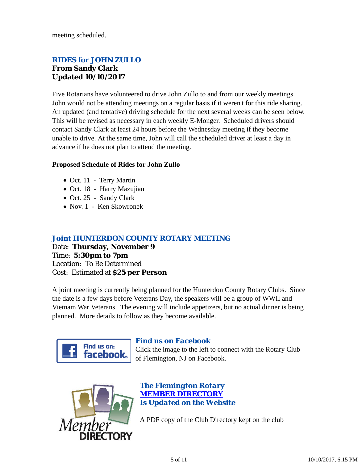meeting scheduled.

### *RIDES for JOHN ZULLO* **From Sandy Clark Updated 10/10/2017**

Five Rotarians have volunteered to drive John Zullo to and from our weekly meetings. John would not be attending meetings on a regular basis if it weren't for this ride sharing. An updated (and tentative) driving schedule for the next several weeks can be seen below. This will be revised as necessary in each weekly E-Monger. Scheduled drivers should contact Sandy Clark at least 24 hours before the Wednesday meeting if they become unable to drive. At the same time, John will call the scheduled driver at least a day in advance if he does not plan to attend the meeting.

#### **Proposed Schedule of Rides for John Zullo**

- Oct. 11 Terry Martin
- Oct. 18 Harry Mazujian
- Oct. 25 Sandy Clark
- Nov. 1 Ken Skowronek

### *Joint HUNTERDON COUNTY ROTARY MEETING*

Date: **Thursday, November 9** Time: **5:30pm to 7pm** Location: To Be Determined Cost: Estimated at **\$25 per Person**

A joint meeting is currently being planned for the Hunterdon County Rotary Clubs. Since the date is a few days before Veterans Day, the speakers will be a group of WWII and Vietnam War Veterans. The evening will include appetizers, but no actual dinner is being planned. More details to follow as they become available.



#### *Find us on Facebook*

Click the image to the left to connect with the Rotary Club of Flemington, NJ on Facebook.



*The Flemington Rotary MEMBER DIRECTORY Is Updated on the Website*

A PDF copy of the Club Directory kept on the club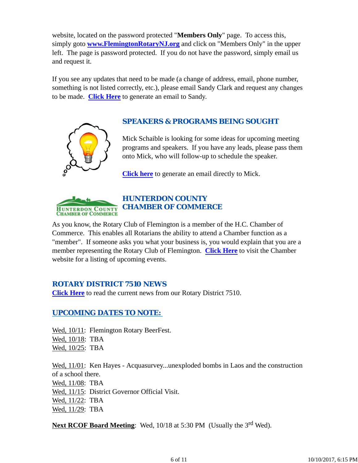website, located on the password protected "**Members Only**" page. To access this, simply goto **www.FlemingtonRotaryNJ.org** and click on "Members Only" in the upper left. The page is password protected. If you do not have the password, simply email us and request it.

If you see any updates that need to be made (a change of address, email, phone number, something is not listed correctly, etc.), please email Sandy Clark and request any changes to be made. **Click Here** to generate an email to Sandy.



### *SPEAKERS & PROGRAMS BEING SOUGHT*

Mick Schaible is looking for some ideas for upcoming meeting programs and speakers. If you have any leads, please pass them onto Mick, who will follow-up to schedule the speaker.

**Click here** to generate an email directly to Mick.



### *HUNTERDON COUNTY CHAMBER OF COMMERCE*

As you know, the Rotary Club of Flemington is a member of the H.C. Chamber of Commerce. This enables all Rotarians the ability to attend a Chamber function as a "member". If someone asks you what your business is, you would explain that you are a member representing the Rotary Club of Flemington. **Click Here** to visit the Chamber website for a listing of upcoming events.

#### *ROTARY DISTRICT 7510 NEWS*

**Click Here** to read the current news from our Rotary District 7510.

### *UPCOMING DATES TO NOTE:*

Wed,  $10/11$ : Flemington Rotary BeerFest. Wed, 10/18: TBA Wed, 10/25: TBA

Wed,  $11/01$ : Ken Hayes - Acquasurvey...unexploded bombs in Laos and the construction of a school there. Wed, 11/08: TBA Wed,  $11/15$ : District Governor Official Visit. Wed, 11/22: TBA Wed, 11/29: TBA

**Next RCOF Board Meeting:** Wed, 10/18 at 5:30 PM (Usually the 3<sup>rd</sup> Wed).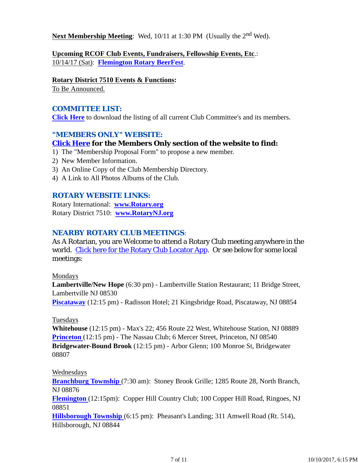**Next Membership Meeting**: Wed, 10/11 at 1:30 PM (Usually the 2<sup>nd</sup> Wed).

**Upcoming RCOF Club Events, Fundraisers, Fellowship Events, Etc**.: 10/14/17 (Sat): **Flemington Rotary BeerFest**.

#### **Rotary District 7510 Events & Functions:**

To Be Announced.

### *COMMITTEE LIST:*

**Click Here** to download the listing of all current Club Committee's and its members.

### *"MEMBERS ONLY" WEBSITE:*

### **Click Here for the Members Only section of the website to find:**

- 1) The "Membership Proposal Form" to propose a new member.
- 2) New Member Information.
- 3) An Online Copy of the Club Membership Directory.
- 4) A Link to All Photos Albums of the Club.

#### *ROTARY WEBSITE LINKS:*

Rotary International: **www.Rotary.org** Rotary District 7510: **www.RotaryNJ.org**

#### *NEARBY ROTARY CLUB MEETINGS:*

As A Rotarian, you are Welcome to attend a Rotary Club meeting anywhere in the world. Click here for the Rotary Club Locator App. Or see below for some local meetings:

#### Mondays

**Lambertville/New Hope** (6:30 pm) - Lambertville Station Restaurant; 11 Bridge Street, Lambertville NJ 08530

**Piscataway** (12:15 pm) - Radisson Hotel; 21 Kingsbridge Road, Piscataway, NJ 08854

#### Tuesdays

**Whitehouse** (12:15 pm) - Max's 22; 456 Route 22 West, Whitehouse Station, NJ 08889 **Princeton** (12:15 pm) - The Nassau Club; 6 Mercer Street, Princeton, NJ 08540 **Bridgewater-Bound Brook** (12:15 pm) - Arbor Glenn; 100 Monroe St, Bridgewater 08807

#### Wednesdays

**Branchburg Township** (7:30 am): Stoney Brook Grille; 1285 Route 28, North Branch, NJ 08876

**Flemington** (12:15pm): Copper Hill Country Club; 100 Copper Hill Road, Ringoes, NJ 08851

**Hillsborough Township** (6:15 pm): Pheasant's Landing; 311 Amwell Road (Rt. 514), Hillsborough, NJ 08844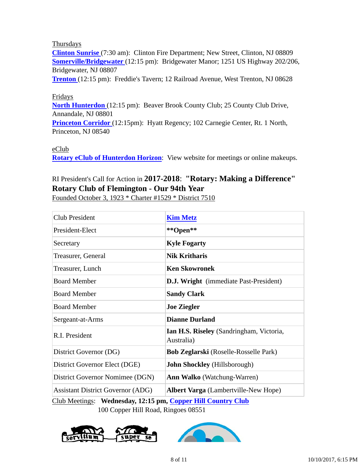#### Thursdays

**Clinton Sunrise** (7:30 am): Clinton Fire Department; New Street, Clinton, NJ 08809 **Somerville/Bridgewater** (12:15 pm): Bridgewater Manor; 1251 US Highway 202/206, Bridgewater, NJ 08807

**Trenton** (12:15 pm): Freddie's Tavern; 12 Railroad Avenue, West Trenton, NJ 08628

#### Fridays

**North Hunterdon** (12:15 pm): Beaver Brook County Club; 25 County Club Drive, Annandale, NJ 08801

**Princeton Corridor** (12:15pm): Hyatt Regency; 102 Carnegie Center, Rt. 1 North, Princeton, NJ 08540

#### eClub

**Rotary eClub of Hunterdon Horizon**: View website for meetings or online makeups.

## RI President's Call for Action in **2017-2018**: **"Rotary: Making a Difference" Rotary Club of Flemington - Our 94th Year**

Founded October 3, 1923 \* Charter #1529 \* District 7510

| <b>Club President</b>                    | <b>Kim Metz</b>                                        |
|------------------------------------------|--------------------------------------------------------|
| President-Elect                          | **Open**                                               |
| Secretary                                | <b>Kyle Fogarty</b>                                    |
| Treasurer, General                       | <b>Nik Kritharis</b>                                   |
| Treasurer, Lunch                         | <b>Ken Skowronek</b>                                   |
| <b>Board Member</b>                      | <b>D.J. Wright</b> (immediate Past-President)          |
| <b>Board Member</b>                      | <b>Sandy Clark</b>                                     |
| <b>Board Member</b>                      | <b>Joe Ziegler</b>                                     |
| Sergeant-at-Arms                         | <b>Dianne Durland</b>                                  |
| R.I. President                           | Ian H.S. Riseley (Sandringham, Victoria,<br>Australia) |
| District Governor (DG)                   | <b>Bob Zeglarski</b> (Roselle-Rosselle Park)           |
| District Governor Elect (DGE)            | <b>John Shockley</b> (Hillsborough)                    |
| District Governor Nomimee (DGN)          | <b>Ann Walko</b> (Watchung-Warren)                     |
| <b>Assistant District Governor (ADG)</b> | <b>Albert Varga</b> (Lambertville-New Hope)            |

Club Meetings: **Wednesday, 12:15 pm, Copper Hill Country Club** 100 Copper Hill Road, Ringoes 08551



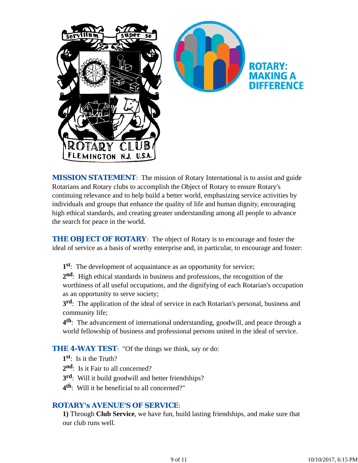

**MISSION STATEMENT:** The mission of Rotary International is to assist and guide Rotarians and Rotary clubs to accomplish the Object of Rotary to ensure Rotary's continuing relevance and to help build a better world, emphasizing service activities by individuals and groups that enhance the quality of life and human dignity, encouraging high ethical standards, and creating greater understanding among all people to advance the search for peace in the world.

**THE OBJECT OF ROTARY:** The object of Rotary is to encourage and foster the ideal of service as a basis of worthy enterprise and, in particular, to encourage and foster:

**1st**: The development of acquaintance as an opportunity for service;

**2nd**: High ethical standards in business and professions, the recognition of the worthiness of all useful occupations, and the dignifying of each Rotarian's occupation as an opportunity to serve society;

**3rd**: The application of the ideal of service in each Rotarian's personal, business and community life;

**4th**: The advancement of international understanding, goodwill, and peace through a world fellowship of business and professional persons united in the ideal of service.

**THE 4-WAY TEST:** "Of the things we think, say or do:

**1st**: Is it the Truth?

- 2<sup>nd</sup>: Is it Fair to all concerned?
- **3rd**: Will it build goodwill and better friendships?
- **4th**: Will it be beneficial to all concerned?"

### *ROTARY's AVENUE'S OF SERVICE*:

**1)** Through **Club Service**, we have fun, build lasting friendships, and make sure that our club runs well.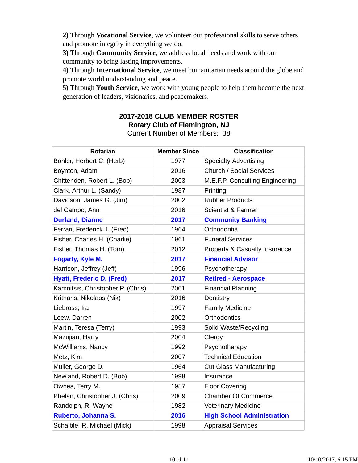**2)** Through **Vocational Service**, we volunteer our professional skills to serve others and promote integrity in everything we do.

**3)** Through **Community Service**, we address local needs and work with our community to bring lasting improvements.

**4)** Through **International Service**, we meet humanitarian needs around the globe and promote world understanding and peace.

**5)** Through **Youth Service**, we work with young people to help them become the next generation of leaders, visionaries, and peacemakers.

## **2017-2018 CLUB MEMBER ROSTER Rotary Club of Flemington, NJ**

| <b>Rotarian</b>                   | <b>Member Since</b> | <b>Classification</b>                    |
|-----------------------------------|---------------------|------------------------------------------|
| Bohler, Herbert C. (Herb)         | 1977                | <b>Specialty Advertising</b>             |
| Boynton, Adam                     | 2016                | <b>Church / Social Services</b>          |
| Chittenden, Robert L. (Bob)       | 2003                | M.E.F.P. Consulting Engineering          |
| Clark, Arthur L. (Sandy)          | 1987                | Printing                                 |
| Davidson, James G. (Jim)          | 2002                | <b>Rubber Products</b>                   |
| del Campo, Ann                    | 2016                | <b>Scientist &amp; Farmer</b>            |
| <b>Durland, Dianne</b>            | 2017                | <b>Community Banking</b>                 |
| Ferrari, Frederick J. (Fred)      | 1964                | Orthodontia                              |
| Fisher, Charles H. (Charlie)      | 1961                | <b>Funeral Services</b>                  |
| Fisher, Thomas H. (Tom)           | 2012                | <b>Property &amp; Casualty Insurance</b> |
| Fogarty, Kyle M.                  | 2017                | <b>Financial Advisor</b>                 |
| Harrison, Jeffrey (Jeff)          | 1996                | Psychotherapy                            |
| <b>Hyatt, Frederic D. (Fred)</b>  | 2017                | <b>Retired - Aerospace</b>               |
| Kamnitsis, Christopher P. (Chris) | 2001                | <b>Financial Planning</b>                |
| Kritharis, Nikolaos (Nik)         | 2016                | Dentistry                                |
| Liebross, Ira                     | 1997                | <b>Family Medicine</b>                   |
| Loew, Darren                      | 2002                | <b>Orthodontics</b>                      |
| Martin, Teresa (Terry)            | 1993                | Solid Waste/Recycling                    |
| Mazujian, Harry                   | 2004                | Clergy                                   |
| McWilliams, Nancy                 | 1992                | Psychotherapy                            |
| Metz, Kim                         | 2007                | <b>Technical Education</b>               |
| Muller, George D.                 | 1964                | <b>Cut Glass Manufacturing</b>           |
| Newland, Robert D. (Bob)          | 1998                | Insurance                                |
| Ownes, Terry M.                   | 1987                | <b>Floor Covering</b>                    |
| Phelan, Christopher J. (Chris)    | 2009                | <b>Chamber Of Commerce</b>               |
| Randolph, R. Wayne                | 1982                | <b>Veterinary Medicine</b>               |
| Ruberto, Johanna S.               | 2016                | <b>High School Administration</b>        |
| Schaible, R. Michael (Mick)       | 1998                | <b>Appraisal Services</b>                |

Current Number of Members: 38